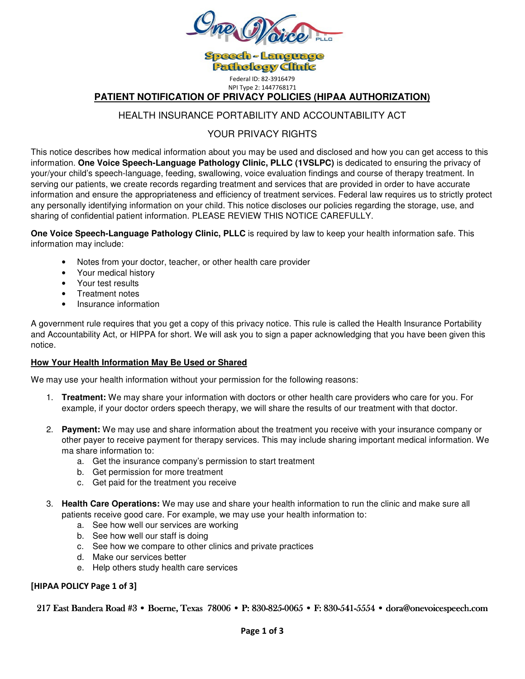

**Speech-Language Pathology Clinic** 

Federal ID: 82-3916479 NPI Type 2: 1447768171

**PATIENT NOTIFICATION OF PRIVACY POLICIES (HIPAA AUTHORIZATION)**

# HEALTH INSURANCE PORTABILITY AND ACCOUNTABILITY ACT

## YOUR PRIVACY RIGHTS

This notice describes how medical information about you may be used and disclosed and how you can get access to this information. **One Voice Speech-Language Pathology Clinic, PLLC (1VSLPC)** is dedicated to ensuring the privacy of your/your child's speech-language, feeding, swallowing, voice evaluation findings and course of therapy treatment. In serving our patients, we create records regarding treatment and services that are provided in order to have accurate information and ensure the appropriateness and efficiency of treatment services. Federal law requires us to strictly protect any personally identifying information on your child. This notice discloses our policies regarding the storage, use, and sharing of confidential patient information. PLEASE REVIEW THIS NOTICE CAREFULLY.

**One Voice Speech-Language Pathology Clinic, PLLC** is required by law to keep your health information safe. This information may include:

- Notes from your doctor, teacher, or other health care provider
- Your medical history
- Your test results
- Treatment notes
- Insurance information

A government rule requires that you get a copy of this privacy notice. This rule is called the Health Insurance Portability and Accountability Act, or HIPPA for short. We will ask you to sign a paper acknowledging that you have been given this notice.

## **How Your Health Information May Be Used or Shared**

We may use your health information without your permission for the following reasons:

- 1. **Treatment:** We may share your information with doctors or other health care providers who care for you. For example, if your doctor orders speech therapy, we will share the results of our treatment with that doctor.
- 2. **Payment:** We may use and share information about the treatment you receive with your insurance company or other payer to receive payment for therapy services. This may include sharing important medical information. We ma share information to:
	- a. Get the insurance company's permission to start treatment
	- b. Get permission for more treatment
	- c. Get paid for the treatment you receive
- 3. **Health Care Operations:** We may use and share your health information to run the clinic and make sure all patients receive good care. For example, we may use your health information to:
	- a. See how well our services are working
	- b. See how well our staff is doing
	- c. See how we compare to other clinics and private practices
	- d. Make our services better
	- e. Help others study health care services

#### **[HIPAA POLICY Page 1 of 3]**

217 East Bandera Road #3 • Boerne, Texas 78006 • P: 830-825-0065 • F: 830-541-5554 • dora@onevoicespeech.com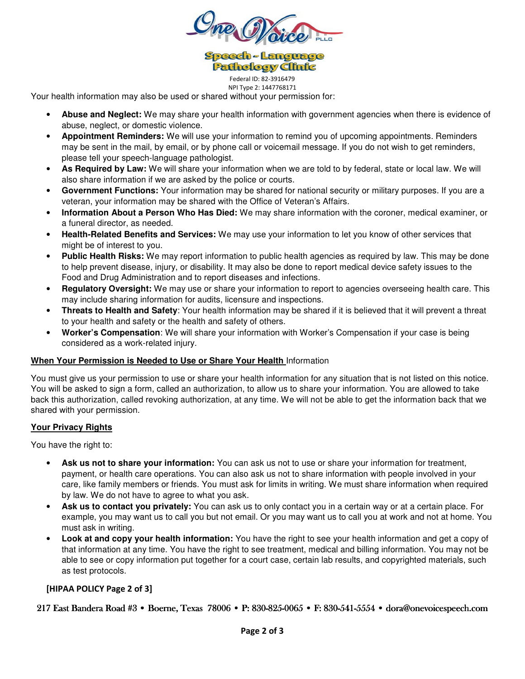

**Speech - Language Pathology Clinic** 

Federal ID: 82-3916479 NPI Type 2: 1447768171

Your health information may also be used or shared without your permission for:

- **Abuse and Neglect:** We may share your health information with government agencies when there is evidence of abuse, neglect, or domestic violence.
- **Appointment Reminders:** We will use your information to remind you of upcoming appointments. Reminders may be sent in the mail, by email, or by phone call or voicemail message. If you do not wish to get reminders, please tell your speech-language pathologist.
- **As Required by Law:** We will share your information when we are told to by federal, state or local law. We will also share information if we are asked by the police or courts.
- **Government Functions:** Your information may be shared for national security or military purposes. If you are a veteran, your information may be shared with the Office of Veteran's Affairs.
- **Information About a Person Who Has Died:** We may share information with the coroner, medical examiner, or a funeral director, as needed.
- **Health-Related Benefits and Services:** We may use your information to let you know of other services that might be of interest to you.
- **Public Health Risks:** We may report information to public health agencies as required by law. This may be done to help prevent disease, injury, or disability. It may also be done to report medical device safety issues to the Food and Drug Administration and to report diseases and infections.
- **Regulatory Oversight:** We may use or share your information to report to agencies overseeing health care. This may include sharing information for audits, licensure and inspections.
- **Threats to Health and Safety**: Your health information may be shared if it is believed that it will prevent a threat to your health and safety or the health and safety of others.
- **Worker's Compensation**: We will share your information with Worker's Compensation if your case is being considered as a work-related injury.

## **When Your Permission is Needed to Use or Share Your Health** Information

You must give us your permission to use or share your health information for any situation that is not listed on this notice. You will be asked to sign a form, called an authorization, to allow us to share your information. You are allowed to take back this authorization, called revoking authorization, at any time. We will not be able to get the information back that we shared with your permission.

## **Your Privacy Rights**

You have the right to:

- **Ask us not to share your information:** You can ask us not to use or share your information for treatment, payment, or health care operations. You can also ask us not to share information with people involved in your care, like family members or friends. You must ask for limits in writing. We must share information when required by law. We do not have to agree to what you ask.
- **Ask us to contact you privately:** You can ask us to only contact you in a certain way or at a certain place. For example, you may want us to call you but not email. Or you may want us to call you at work and not at home. You must ask in writing.
- **Look at and copy your health information:** You have the right to see your health information and get a copy of that information at any time. You have the right to see treatment, medical and billing information. You may not be able to see or copy information put together for a court case, certain lab results, and copyrighted materials, such as test protocols.

## **[HIPAA POLICY Page 2 of 3]**

## 217 East Bandera Road #3 • Boerne, Texas  $78006$  • P:  $830-825-0065$  • F:  $830-541-5554$  • dora@onevoicespeech.com